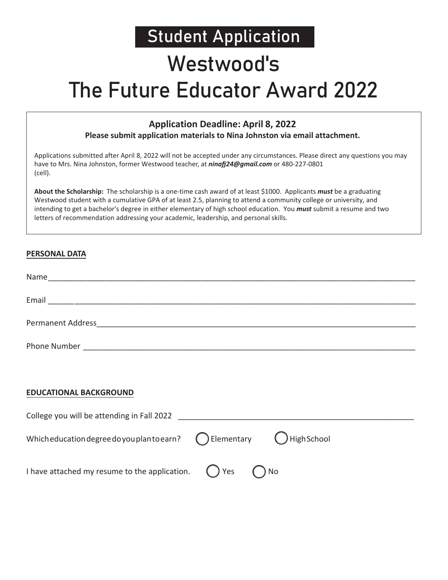### Student Application

### Westwood's

## The Future Educator Award 2022

#### **Application Deadline: April 8, 2022**

**Please submit application materials to Nina Johnston via email attachment.** 

Applications submitted after April 8, 2022 will not be accepted under any circumstances. Please direct any questions you may have to Mrs. Nina Johnston, former Westwood teacher, at *ninafj24@gmail.com* or 480-227-0801 (cell).

**About the Scholarship:** The scholarship is a one-time cash award of at least \$1000. Applicants *must* be a graduating Westwood student with a cumulative GPA of at least 2.5, planning to attend a community college or university, and intending to get a bachelor's degree in either elementary of high school education. You *must* submit a resume and two letters of recommendation addressing your academic, leadership, and personal skills.

#### **PERSONAL DATA**

| Name<br><u> 1989 - Andrej Sterne Sterne Sterne Sterne Sterne Sterne Sterne Sterne Sterne Sterne Sterne Sterne Sterne Ster</u> |  |  |
|-------------------------------------------------------------------------------------------------------------------------------|--|--|
| Email                                                                                                                         |  |  |
| Permanent Address                                                                                                             |  |  |
| Phone Number                                                                                                                  |  |  |

#### **EDUCATIONAL BACKGROUND**

| College you will be attending in Fall 2022                                         |  |  |
|------------------------------------------------------------------------------------|--|--|
| Which education degree do you plan to earn? (Delementary Unigh School              |  |  |
| I have attached my resume to the application. $\binom{ }{ }$ Yes $\binom{ }{ }$ No |  |  |